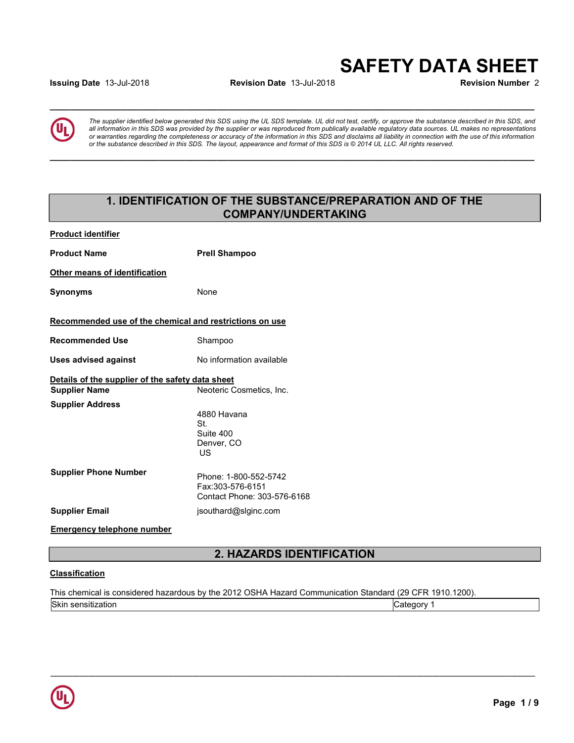# SAFETY DATA SHEET

Issuing Date 01/27/2021 Revision Date 01/27/2021 Revision Number 3

 $\_$  ,  $\_$  ,  $\_$  ,  $\_$  ,  $\_$  ,  $\_$  ,  $\_$  ,  $\_$  ,  $\_$  ,  $\_$  ,  $\_$  ,  $\_$  ,  $\_$  ,  $\_$  ,  $\_$  ,  $\_$  ,  $\_$  ,  $\_$  ,  $\_$  ,  $\_$  ,  $\_$  ,  $\_$  ,  $\_$  ,  $\_$  ,  $\_$  ,  $\_$  ,  $\_$  ,  $\_$  ,  $\_$  ,  $\_$  ,  $\_$  ,  $\_$  ,  $\_$  ,  $\_$  ,  $\_$  ,  $\_$  ,  $\_$  ,

 $\_$  ,  $\_$  ,  $\_$  ,  $\_$  ,  $\_$  ,  $\_$  ,  $\_$  ,  $\_$  ,  $\_$  ,  $\_$  ,  $\_$  ,  $\_$  ,  $\_$  ,  $\_$  ,  $\_$  ,  $\_$  ,  $\_$  ,  $\_$  ,  $\_$  ,  $\_$  ,  $\_$  ,  $\_$  ,  $\_$  ,  $\_$  ,  $\_$  ,  $\_$  ,  $\_$  ,  $\_$  ,  $\_$  ,  $\_$  ,  $\_$  ,  $\_$  ,  $\_$  ,  $\_$  ,  $\_$  ,  $\_$  ,  $\_$  ,



The supplier identified below generated this SDS using the UL SDS template. UL did not test, certify, or approve the substance described in this SDS, and all information in this SDS was provided by the supplier or was reproduced from publically available regulatory data sources. UL makes no representations or warranties regarding the completeness or accuracy of the information in this SDS and disclaims all liability in connection with the use of this information or the substance described in this SDS. The layout, appearance and format of this SDS is © 2014 UL LLC. All rights reserved.

### 1. IDENTIFICATION OF THE SUBSTANCE/PREPARATION AND OF THE COMPANY/UNDERTAKING

| <b>Product identifier</b>                               |                                    |
|---------------------------------------------------------|------------------------------------|
| <b>Product Name</b>                                     | <b>Prell Shampoo</b>               |
| Other means of identification                           |                                    |
| <b>Synonyms</b>                                         | None                               |
| Recommended use of the chemical and restrictions on use |                                    |
| <b>Recommended Use</b>                                  | Shampoo                            |
| <b>Uses advised against</b>                             | No information available           |
| Details of the supplier of the safety data sheet        |                                    |
| <b>Supplier Name</b>                                    | Neoteric Cosmetics, Inc.           |
| <b>Supplier Address</b>                                 | 8400 East Crescent Pkwy, Suite 450 |
|                                                         | Greenwood Village, CO 80111        |
|                                                         |                                    |
| <b>Supplier Phone Number</b>                            | Phone: 1-800-447-1919              |
| <b>Supplier Email</b>                                   | jgushen@slginc.com                 |
| <b>Emergency telephone number</b>                       | 1-800-447-1919                     |

### 2. HAZARDS IDENTIFICATION

 $\mathcal{L}_\mathcal{L} = \{ \mathcal{L}_\mathcal{L} = \{ \mathcal{L}_\mathcal{L} = \{ \mathcal{L}_\mathcal{L} = \{ \mathcal{L}_\mathcal{L} = \{ \mathcal{L}_\mathcal{L} = \{ \mathcal{L}_\mathcal{L} = \{ \mathcal{L}_\mathcal{L} = \{ \mathcal{L}_\mathcal{L} = \{ \mathcal{L}_\mathcal{L} = \{ \mathcal{L}_\mathcal{L} = \{ \mathcal{L}_\mathcal{L} = \{ \mathcal{L}_\mathcal{L} = \{ \mathcal{L}_\mathcal{L} = \{ \mathcal{L}_\mathcal{$ 

#### **Classification**

This chemical is considered hazardous by the 2012 OSHA Hazard Communication Standard (29 CFR 1910.1200). Skin sensitization in the control of the control of the control of the control of  $\sim$  Category 1

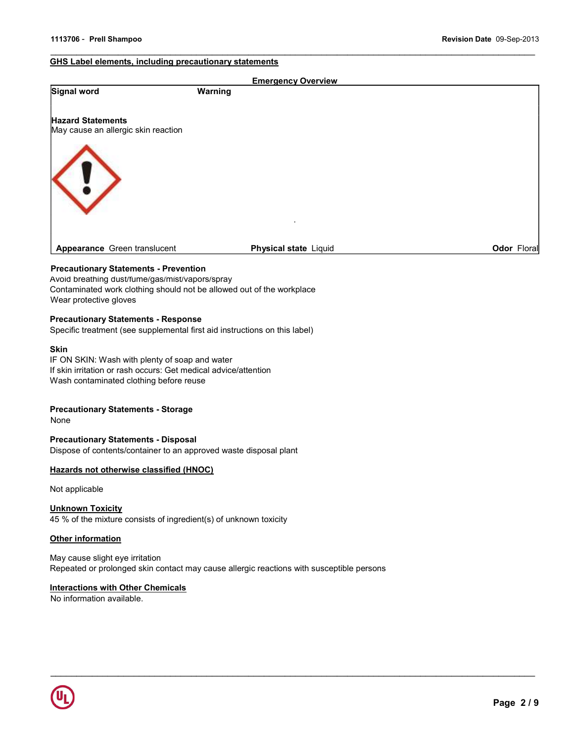#### GHS Label elements, including precautionary statements

|                                                                 | <b>Emergency Overview</b>    |             |
|-----------------------------------------------------------------|------------------------------|-------------|
| <b>Signal word</b>                                              | Warning                      |             |
| <b>Hazard Statements</b><br>May cause an allergic skin reaction |                              |             |
| ⋖                                                               |                              |             |
| Appearance Green translucent                                    | <b>Physical state Liquid</b> | Odor Floral |

#### Precautionary Statements - Prevention

Avoid breathing dust/fume/gas/mist/vapors/spray Contaminated work clothing should not be allowed out of the workplace Wear protective gloves

#### Precautionary Statements - Response

Specific treatment (see supplemental first aid instructions on this label)

#### Skin

IF ON SKIN: Wash with plenty of soap and water If skin irritation or rash occurs: Get medical advice/attention Wash contaminated clothing before reuse

#### Precautionary Statements - Storage

None

#### Precautionary Statements - Disposal

Dispose of contents/container to an approved waste disposal plant

#### Hazards not otherwise classified (HNOC)

Not applicable

#### Unknown Toxicity

45 % of the mixture consists of ingredient(s) of unknown toxicity

#### **Other information**

#### May cause slight eye irritation Repeated or prolonged skin contact may cause allergic reactions with susceptible persons

 $\mathcal{L}_\mathcal{L} = \{ \mathcal{L}_\mathcal{L} = \{ \mathcal{L}_\mathcal{L} = \{ \mathcal{L}_\mathcal{L} = \{ \mathcal{L}_\mathcal{L} = \{ \mathcal{L}_\mathcal{L} = \{ \mathcal{L}_\mathcal{L} = \{ \mathcal{L}_\mathcal{L} = \{ \mathcal{L}_\mathcal{L} = \{ \mathcal{L}_\mathcal{L} = \{ \mathcal{L}_\mathcal{L} = \{ \mathcal{L}_\mathcal{L} = \{ \mathcal{L}_\mathcal{L} = \{ \mathcal{L}_\mathcal{L} = \{ \mathcal{L}_\mathcal{$ 

#### **Interactions with Other Chemicals**

No information available.

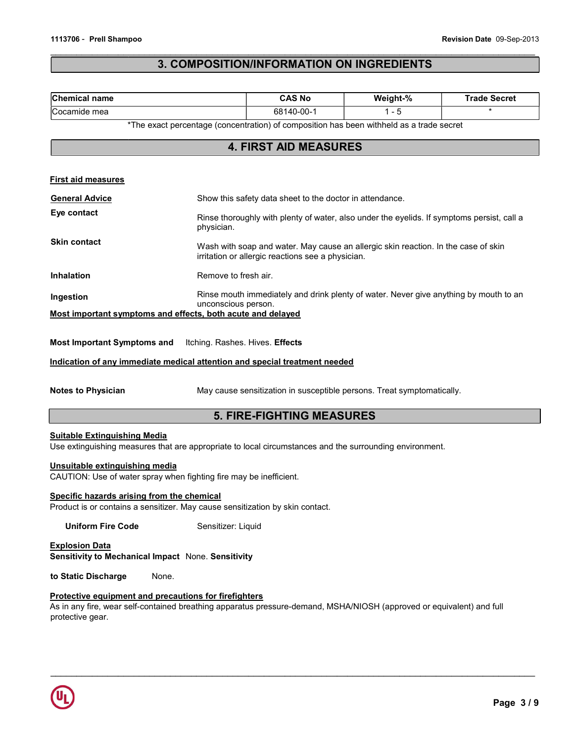### 3. COMPOSITION/INFORMATION ON INGREDIENTS

| Chemical name                                                                                                                                                                                                                                              | <b>CAS No</b>                                                                                                                           | Weight-% | <b>Trade Secret</b> |  |
|------------------------------------------------------------------------------------------------------------------------------------------------------------------------------------------------------------------------------------------------------------|-----------------------------------------------------------------------------------------------------------------------------------------|----------|---------------------|--|
| Cocamide mea                                                                                                                                                                                                                                               | 68140-00-1                                                                                                                              | $1 - 5$  | $\star$             |  |
|                                                                                                                                                                                                                                                            | *The exact percentage (concentration) of composition has been withheld as a trade secret                                                |          |                     |  |
|                                                                                                                                                                                                                                                            | <b>4. FIRST AID MEASURES</b>                                                                                                            |          |                     |  |
|                                                                                                                                                                                                                                                            |                                                                                                                                         |          |                     |  |
| <b>First aid measures</b>                                                                                                                                                                                                                                  |                                                                                                                                         |          |                     |  |
| <b>General Advice</b>                                                                                                                                                                                                                                      | Show this safety data sheet to the doctor in attendance.                                                                                |          |                     |  |
| Eye contact                                                                                                                                                                                                                                                | Rinse thoroughly with plenty of water, also under the eyelids. If symptoms persist, call a<br>physician.                                |          |                     |  |
| <b>Skin contact</b>                                                                                                                                                                                                                                        | Wash with soap and water. May cause an allergic skin reaction. In the case of skin<br>irritation or allergic reactions see a physician. |          |                     |  |
| <b>Inhalation</b>                                                                                                                                                                                                                                          | Remove to fresh air.                                                                                                                    |          |                     |  |
| Ingestion                                                                                                                                                                                                                                                  | Rinse mouth immediately and drink plenty of water. Never give anything by mouth to an<br>unconscious person.                            |          |                     |  |
| Most important symptoms and effects, both acute and delayed                                                                                                                                                                                                |                                                                                                                                         |          |                     |  |
| <b>Most Important Symptoms and</b><br>Itching. Rashes. Hives. Effects<br>Indication of any immediate medical attention and special treatment needed<br><b>Notes to Physician</b><br>May cause sensitization in susceptible persons. Treat symptomatically. |                                                                                                                                         |          |                     |  |
| <b>5. FIRE-FIGHTING MEASURES</b>                                                                                                                                                                                                                           |                                                                                                                                         |          |                     |  |
| <b>Suitable Extinguishing Media</b><br>Use extinguishing measures that are appropriate to local circumstances and the surrounding environment.                                                                                                             |                                                                                                                                         |          |                     |  |
| Unsuitable extinguishing media<br>CAUTION: Use of water spray when fighting fire may be inefficient.                                                                                                                                                       |                                                                                                                                         |          |                     |  |
| Specific hazards arising from the chemical<br>Product is or contains a sensitizer. May cause sensitization by skin contact.                                                                                                                                |                                                                                                                                         |          |                     |  |
| <b>Uniform Fire Code</b>                                                                                                                                                                                                                                   | Sensitizer: Liquid                                                                                                                      |          |                     |  |
| <b>Explosion Data</b><br>Sensitivity to Mechanical Impact None. Sensitivity                                                                                                                                                                                |                                                                                                                                         |          |                     |  |
| to Static Discharge<br>None.                                                                                                                                                                                                                               |                                                                                                                                         |          |                     |  |

### Protective equipment and precautions for firefighters

As in any fire, wear self-contained breathing apparatus pressure-demand, MSHA/NIOSH (approved or equivalent) and full protective gear.

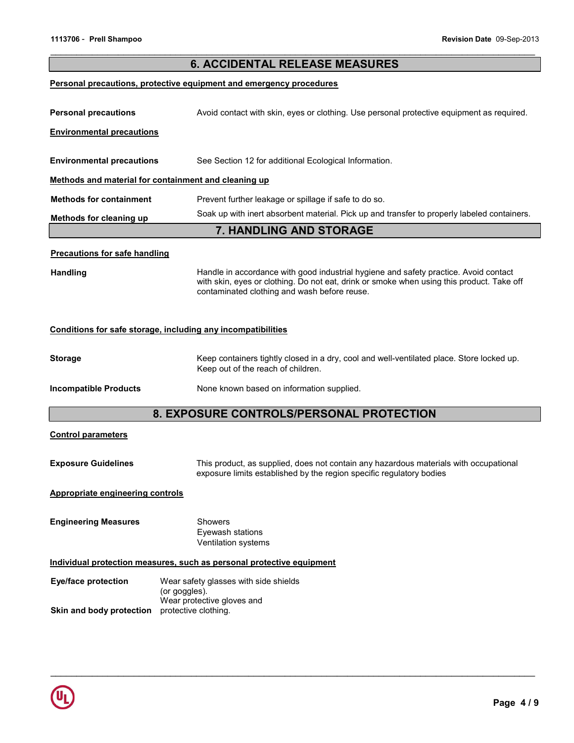### 6. ACCIDENTAL RELEASE MEASURES

#### Personal precautions, protective equipment and emergency procedures

| <b>Personal precautions</b>                                  | Avoid contact with skin, eyes or clothing. Use personal protective equipment as required.                                                                                                                                         |  |  |
|--------------------------------------------------------------|-----------------------------------------------------------------------------------------------------------------------------------------------------------------------------------------------------------------------------------|--|--|
| <b>Environmental precautions</b>                             |                                                                                                                                                                                                                                   |  |  |
|                                                              |                                                                                                                                                                                                                                   |  |  |
| <b>Environmental precautions</b>                             | See Section 12 for additional Ecological Information.                                                                                                                                                                             |  |  |
| Methods and material for containment and cleaning up         |                                                                                                                                                                                                                                   |  |  |
| <b>Methods for containment</b>                               | Prevent further leakage or spillage if safe to do so.                                                                                                                                                                             |  |  |
| Methods for cleaning up                                      | Soak up with inert absorbent material. Pick up and transfer to properly labeled containers.                                                                                                                                       |  |  |
|                                                              | <b>7. HANDLING AND STORAGE</b>                                                                                                                                                                                                    |  |  |
| <b>Precautions for safe handling</b>                         |                                                                                                                                                                                                                                   |  |  |
| <b>Handling</b>                                              | Handle in accordance with good industrial hygiene and safety practice. Avoid contact<br>with skin, eyes or clothing. Do not eat, drink or smoke when using this product. Take off<br>contaminated clothing and wash before reuse. |  |  |
| Conditions for safe storage, including any incompatibilities |                                                                                                                                                                                                                                   |  |  |
| <b>Storage</b>                                               | Keep containers tightly closed in a dry, cool and well-ventilated place. Store locked up.<br>Keep out of the reach of children.                                                                                                   |  |  |
| <b>Incompatible Products</b>                                 | None known based on information supplied.                                                                                                                                                                                         |  |  |
|                                                              | 8. EXPOSURE CONTROLS/PERSONAL PROTECTION                                                                                                                                                                                          |  |  |
| <b>Control parameters</b>                                    |                                                                                                                                                                                                                                   |  |  |
| <b>Exposure Guidelines</b>                                   | This product, as supplied, does not contain any hazardous materials with occupational<br>exposure limits established by the region specific regulatory bodies                                                                     |  |  |
| <b>Appropriate engineering controls</b>                      |                                                                                                                                                                                                                                   |  |  |
| <b>Engineering Measures</b>                                  | Showers<br>Eyewash stations<br>Ventilation systems                                                                                                                                                                                |  |  |

 $\mathcal{L}_\mathcal{L} = \{ \mathcal{L}_\mathcal{L} = \{ \mathcal{L}_\mathcal{L} = \{ \mathcal{L}_\mathcal{L} = \{ \mathcal{L}_\mathcal{L} = \{ \mathcal{L}_\mathcal{L} = \{ \mathcal{L}_\mathcal{L} = \{ \mathcal{L}_\mathcal{L} = \{ \mathcal{L}_\mathcal{L} = \{ \mathcal{L}_\mathcal{L} = \{ \mathcal{L}_\mathcal{L} = \{ \mathcal{L}_\mathcal{L} = \{ \mathcal{L}_\mathcal{L} = \{ \mathcal{L}_\mathcal{L} = \{ \mathcal{L}_\mathcal{$ 

#### Individual protection measures, such as personal protective equipment

| Eye/face protection      | Wear safety glasses with side shields |
|--------------------------|---------------------------------------|
|                          | (or goggles).                         |
|                          | Wear protective gloves and            |
| Skin and body protection | protective clothing.                  |

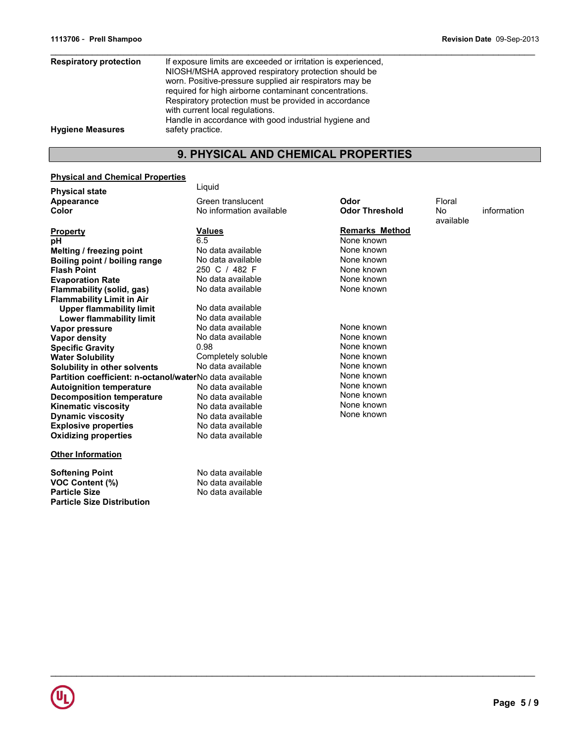| <b>Respiratory protection</b> | If exposure limits are exceeded or irritation is experienced. |
|-------------------------------|---------------------------------------------------------------|
|                               | NIOSH/MSHA approved respiratory protection should be          |
|                               | worn. Positive-pressure supplied air respirators may be       |
|                               | required for high airborne contaminant concentrations.        |
|                               | Respiratory protection must be provided in accordance         |
|                               | with current local regulations.                               |
|                               | Handle in accordance with good industrial hygiene and         |
| <b>Hygiene Measures</b>       | safety practice.                                              |
|                               |                                                               |

## 9. PHYSICAL AND CHEMICAL PROPERTIES

#### Physical and Chemical Properties

Particle Size Distribution

| <b>Physical state</b>                                   | Liquid                   |                       |                 |             |
|---------------------------------------------------------|--------------------------|-----------------------|-----------------|-------------|
| Appearance                                              | Green translucent        | Odor                  | Floral          |             |
| Color                                                   | No information available | <b>Odor Threshold</b> | No<br>available | information |
| <b>Property</b>                                         | <b>Values</b>            | <b>Remarks Method</b> |                 |             |
| рH                                                      | 6.5                      | None known            |                 |             |
| Melting / freezing point                                | No data available        | None known            |                 |             |
| Boiling point / boiling range                           | No data available        | None known            |                 |             |
| <b>Flash Point</b>                                      | 250 C / 482 F            | None known            |                 |             |
| <b>Evaporation Rate</b>                                 | No data available        | None known            |                 |             |
| Flammability (solid, gas)                               | No data available        | None known            |                 |             |
| <b>Flammability Limit in Air</b>                        |                          |                       |                 |             |
| <b>Upper flammability limit</b>                         | No data available        |                       |                 |             |
| Lower flammability limit                                | No data available        |                       |                 |             |
| Vapor pressure                                          | No data available        | None known            |                 |             |
| Vapor density                                           | No data available        | None known            |                 |             |
| <b>Specific Gravity</b>                                 | 0.98                     | None known            |                 |             |
| <b>Water Solubility</b>                                 | Completely soluble       | None known            |                 |             |
| Solubility in other solvents                            | No data available        | None known            |                 |             |
| Partition coefficient: n-octanol/waterNo data available |                          | None known            |                 |             |
| <b>Autoignition temperature</b>                         | No data available        | None known            |                 |             |
| <b>Decomposition temperature</b>                        | No data available        | None known            |                 |             |
| <b>Kinematic viscosity</b>                              | No data available        | None known            |                 |             |
| <b>Dynamic viscosity</b>                                | No data available        | None known            |                 |             |
| <b>Explosive properties</b>                             | No data available        |                       |                 |             |
| <b>Oxidizing properties</b>                             | No data available        |                       |                 |             |
| <b>Other Information</b>                                |                          |                       |                 |             |
| <b>Softening Point</b>                                  | No data available        |                       |                 |             |
| <b>VOC Content (%)</b>                                  | No data available        |                       |                 |             |
| <b>Particle Size</b>                                    | No data available        |                       |                 |             |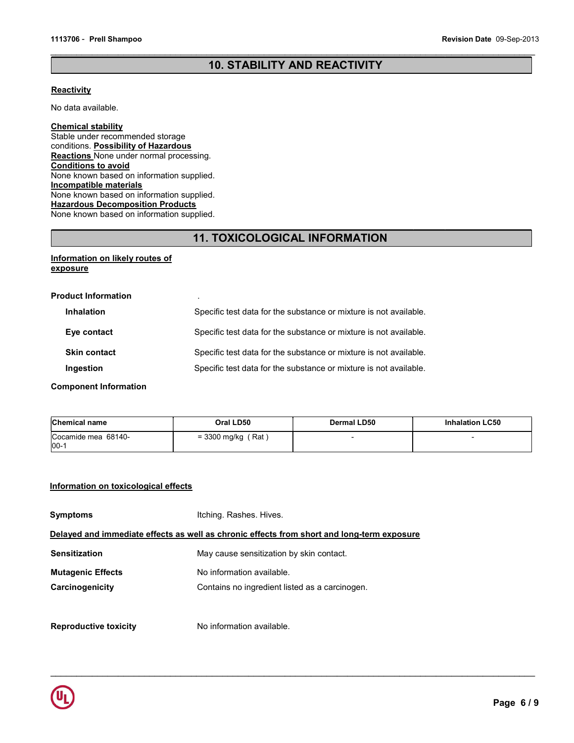### 10. STABILITY AND REACTIVITY

#### **Reactivity**

No data available.

#### Chemical stability

Stable under recommended storage conditions. Possibility of Hazardous **Reactions** None under normal processing. Conditions to avoid None known based on information supplied. Incompatible materials None known based on information supplied. Hazardous Decomposition Products None known based on information supplied.

### 11. TOXICOLOGICAL INFORMATION

#### Information on likely routes of **exposure**

| <b>Product Information</b> | $\blacksquare$                                                    |
|----------------------------|-------------------------------------------------------------------|
| <b>Inhalation</b>          | Specific test data for the substance or mixture is not available. |
| Eye contact                | Specific test data for the substance or mixture is not available. |
| <b>Skin contact</b>        | Specific test data for the substance or mixture is not available. |
| Ingestion                  | Specific test data for the substance or mixture is not available. |

Component Information

| <b>Chemical name</b>          | Oral LD50            | <b>Dermal LD50</b> | <b>Inhalation LC50</b> |
|-------------------------------|----------------------|--------------------|------------------------|
| Cocamide mea 68140-<br>$00 -$ | $=$ 3300 mg/kg (Rat) |                    |                        |

 $\mathcal{L}_\mathcal{L} = \{ \mathcal{L}_\mathcal{L} = \{ \mathcal{L}_\mathcal{L} = \{ \mathcal{L}_\mathcal{L} = \{ \mathcal{L}_\mathcal{L} = \{ \mathcal{L}_\mathcal{L} = \{ \mathcal{L}_\mathcal{L} = \{ \mathcal{L}_\mathcal{L} = \{ \mathcal{L}_\mathcal{L} = \{ \mathcal{L}_\mathcal{L} = \{ \mathcal{L}_\mathcal{L} = \{ \mathcal{L}_\mathcal{L} = \{ \mathcal{L}_\mathcal{L} = \{ \mathcal{L}_\mathcal{L} = \{ \mathcal{L}_\mathcal{$ 

#### Information on toxicological effects

| <b>Symptoms</b>              | Itching. Rashes. Hives.                                                                    |  |  |
|------------------------------|--------------------------------------------------------------------------------------------|--|--|
|                              | Delayed and immediate effects as well as chronic effects from short and long-term exposure |  |  |
| <b>Sensitization</b>         | May cause sensitization by skin contact.                                                   |  |  |
| <b>Mutagenic Effects</b>     | No information available.                                                                  |  |  |
| Carcinogenicity              | Contains no ingredient listed as a carcinogen.                                             |  |  |
| <b>Reproductive toxicity</b> | No information available.                                                                  |  |  |

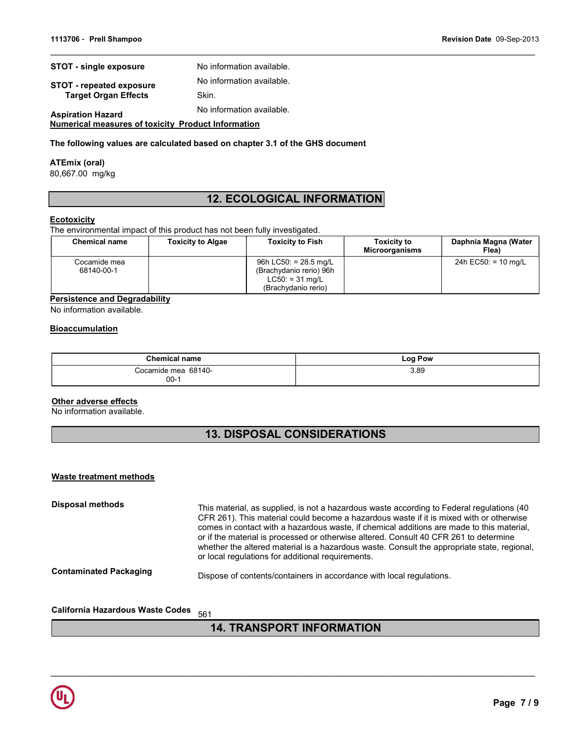| <b>STOT - single exposure</b>   | No information available. |
|---------------------------------|---------------------------|
| <b>STOT - repeated exposure</b> | No information available. |
| <b>Target Organ Effects</b>     | Skin.                     |
| <b>Aspiration Hazard</b>        | No information available. |

Numerical measures of toxicity Product Information

#### The following values are calculated based on chapter 3.1 of the GHS document

#### ATEmix (oral)

80,667.00 mg/kg

### 12. ECOLOGICAL INFORMATION

#### **Ecotoxicity**

The environmental impact of this product has not been fully investigated.

| <b>Chemical name</b>       | <b>Toxicity to Algae</b> | <b>Toxicity to Fish</b>                                                                        | <b>Toxicity to</b><br><b>Microorganisms</b> | Daphnia Magna (Water<br>Flea) |
|----------------------------|--------------------------|------------------------------------------------------------------------------------------------|---------------------------------------------|-------------------------------|
| Cocamide mea<br>68140-00-1 |                          | 96h LC50: $= 28.5$ mg/L<br>(Brachydanio rerio) 96h<br>$LC50: = 31$ mg/L<br>(Brachydanio rerio) |                                             | 24h EC50: $= 10$ mg/L         |

#### Persistence and Degradability

No information available.

#### **Bioaccumulation**

| <b>Chemical name</b> | Log Pow |
|----------------------|---------|
| Cocamide mea 68140-  | 3.89    |
| $00-1$               |         |

#### **Other adverse effects**

No information available.

### 13. DISPOSAL CONSIDERATIONS

#### Waste treatment methods

| Disposal methods              | This material, as supplied, is not a hazardous waste according to Federal regulations (40<br>CFR 261). This material could become a hazardous waste if it is mixed with or otherwise<br>comes in contact with a hazardous waste, if chemical additions are made to this material,<br>or if the material is processed or otherwise altered. Consult 40 CFR 261 to determine<br>whether the altered material is a hazardous waste. Consult the appropriate state, regional,<br>or local regulations for additional requirements. |
|-------------------------------|--------------------------------------------------------------------------------------------------------------------------------------------------------------------------------------------------------------------------------------------------------------------------------------------------------------------------------------------------------------------------------------------------------------------------------------------------------------------------------------------------------------------------------|
| <b>Contaminated Packaging</b> | Dispose of contents/containers in accordance with local regulations.                                                                                                                                                                                                                                                                                                                                                                                                                                                           |
|                               |                                                                                                                                                                                                                                                                                                                                                                                                                                                                                                                                |

California Hazardous Waste Codes 561

### 14. TRANSPORT INFORMATION

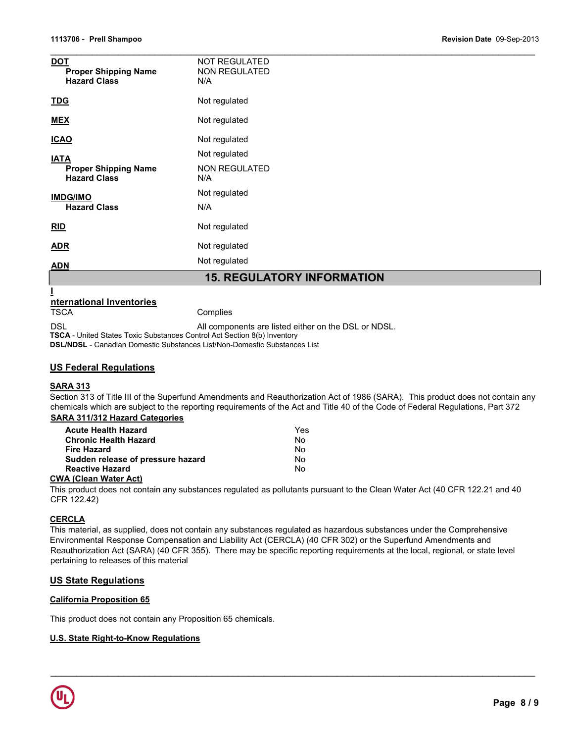| <u>DOT</u><br><b>Proper Shipping Name</b><br><b>Hazard Class</b> | <b>NOT REGULATED</b><br><b>NON REGULATED</b><br>N/A |  |  |
|------------------------------------------------------------------|-----------------------------------------------------|--|--|
| <b>TDG</b>                                                       | Not regulated                                       |  |  |
| <b>MEX</b>                                                       | Not regulated                                       |  |  |
| <b>ICAO</b>                                                      | Not regulated                                       |  |  |
| <b>IATA</b>                                                      | Not regulated                                       |  |  |
| <b>Proper Shipping Name</b><br><b>Hazard Class</b>               | <b>NON REGULATED</b><br>N/A                         |  |  |
| <b>IMDG/IMO</b><br><b>Hazard Class</b>                           | Not regulated                                       |  |  |
|                                                                  | N/A                                                 |  |  |
| RID                                                              | Not regulated                                       |  |  |
| <b>ADR</b>                                                       | Not regulated                                       |  |  |
| <b>ADN</b>                                                       | Not regulated                                       |  |  |
| <b>15. REGULATORY INFORMATION</b>                                |                                                     |  |  |
| nternational Inventories                                         |                                                     |  |  |
| <b>TSCA</b>                                                      | Complies                                            |  |  |

DSL DSL All components are listed either on the DSL or NDSL.

TSCA - United States Toxic Substances Control Act Section 8(b) Inventory DSL/NDSL - Canadian Domestic Substances List/Non-Domestic Substances List

#### US Federal Regulations

#### SARA 313

Section 313 of Title III of the Superfund Amendments and Reauthorization Act of 1986 (SARA). This product does not contain any chemicals which are subject to the reporting requirements of the Act and Title 40 of the Code of Federal Regulations, Part 372 SARA 311/312 Hazard Categories

| <b>Acute Health Hazard</b>                                                                                                                                                                                                                                                                                                                                                           | Yes |
|--------------------------------------------------------------------------------------------------------------------------------------------------------------------------------------------------------------------------------------------------------------------------------------------------------------------------------------------------------------------------------------|-----|
| <b>Chronic Health Hazard</b>                                                                                                                                                                                                                                                                                                                                                         | Nο  |
| <b>Fire Hazard</b>                                                                                                                                                                                                                                                                                                                                                                   | Nο  |
| Sudden release of pressure hazard                                                                                                                                                                                                                                                                                                                                                    | N٥  |
| <b>Reactive Hazard</b>                                                                                                                                                                                                                                                                                                                                                               | Nο  |
| $\overline{A}$ $\overline{C}$ $\overline{C}$ $\overline{C}$ $\overline{C}$ $\overline{C}$ $\overline{C}$ $\overline{C}$ $\overline{C}$ $\overline{C}$ $\overline{C}$ $\overline{C}$ $\overline{C}$ $\overline{C}$ $\overline{C}$ $\overline{C}$ $\overline{C}$ $\overline{C}$ $\overline{C}$ $\overline{C}$ $\overline{C}$ $\overline{C}$ $\overline{C}$ $\overline{C}$ $\overline{$ |     |

#### CWA (Clean Water Act)

This product does not contain any substances regulated as pollutants pursuant to the Clean Water Act (40 CFR 122.21 and 40 CFR 122.42)

#### **CERCLA**

This material, as supplied, does not contain any substances regulated as hazardous substances under the Comprehensive Environmental Response Compensation and Liability Act (CERCLA) (40 CFR 302) or the Superfund Amendments and Reauthorization Act (SARA) (40 CFR 355). There may be specific reporting requirements at the local, regional, or state level pertaining to releases of this material

 $\mathcal{L}_\mathcal{L} = \{ \mathcal{L}_\mathcal{L} = \{ \mathcal{L}_\mathcal{L} = \{ \mathcal{L}_\mathcal{L} = \{ \mathcal{L}_\mathcal{L} = \{ \mathcal{L}_\mathcal{L} = \{ \mathcal{L}_\mathcal{L} = \{ \mathcal{L}_\mathcal{L} = \{ \mathcal{L}_\mathcal{L} = \{ \mathcal{L}_\mathcal{L} = \{ \mathcal{L}_\mathcal{L} = \{ \mathcal{L}_\mathcal{L} = \{ \mathcal{L}_\mathcal{L} = \{ \mathcal{L}_\mathcal{L} = \{ \mathcal{L}_\mathcal{$ 

#### US State Regulations

#### California Proposition 65

This product does not contain any Proposition 65 chemicals.

#### U.S. State Right-to-Know Regulations